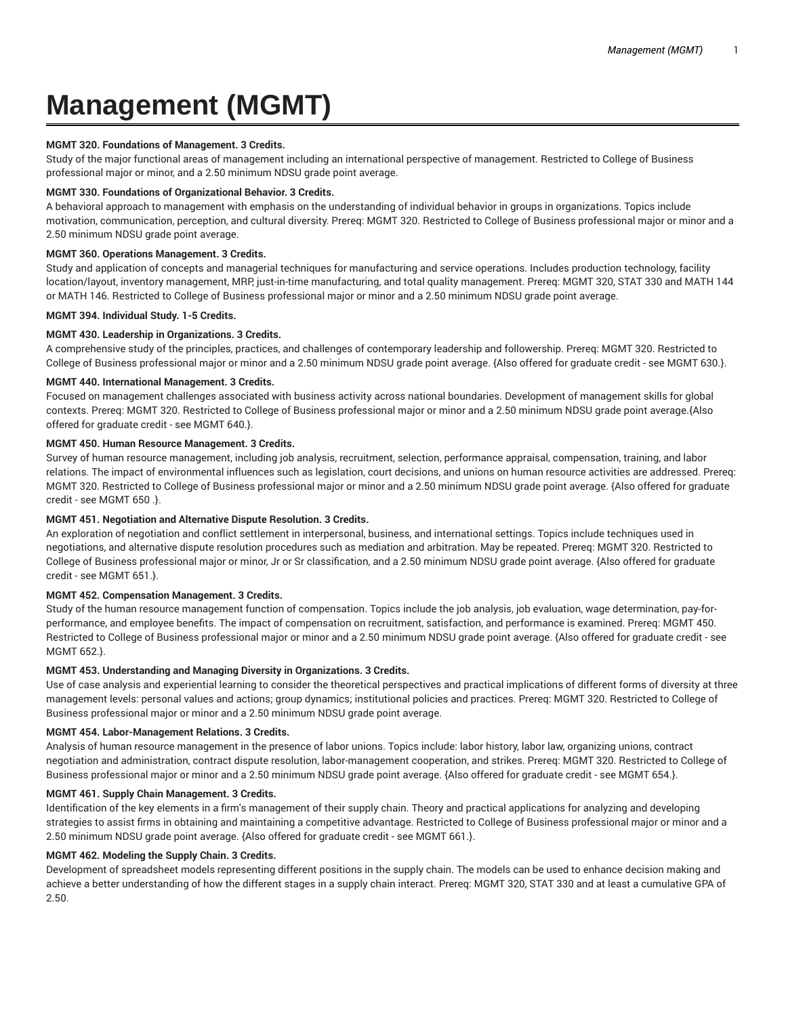# **Management (MGMT)**

## **MGMT 320. Foundations of Management. 3 Credits.**

Study of the major functional areas of management including an international perspective of management. Restricted to College of Business professional major or minor, and a 2.50 minimum NDSU grade point average.

## **MGMT 330. Foundations of Organizational Behavior. 3 Credits.**

A behavioral approach to management with emphasis on the understanding of individual behavior in groups in organizations. Topics include motivation, communication, perception, and cultural diversity. Prereq: MGMT 320. Restricted to College of Business professional major or minor and a 2.50 minimum NDSU grade point average.

## **MGMT 360. Operations Management. 3 Credits.**

Study and application of concepts and managerial techniques for manufacturing and service operations. Includes production technology, facility location/layout, inventory management, MRP, just-in-time manufacturing, and total quality management. Prereq: MGMT 320, STAT 330 and MATH 144 or MATH 146. Restricted to College of Business professional major or minor and a 2.50 minimum NDSU grade point average.

# **MGMT 394. Individual Study. 1-5 Credits.**

## **MGMT 430. Leadership in Organizations. 3 Credits.**

A comprehensive study of the principles, practices, and challenges of contemporary leadership and followership. Prereq: MGMT 320. Restricted to College of Business professional major or minor and a 2.50 minimum NDSU grade point average. {Also offered for graduate credit - see MGMT 630.}.

## **MGMT 440. International Management. 3 Credits.**

Focused on management challenges associated with business activity across national boundaries. Development of management skills for global contexts. Prereq: MGMT 320. Restricted to College of Business professional major or minor and a 2.50 minimum NDSU grade point average.{Also offered for graduate credit - see MGMT 640.}.

# **MGMT 450. Human Resource Management. 3 Credits.**

Survey of human resource management, including job analysis, recruitment, selection, performance appraisal, compensation, training, and labor relations. The impact of environmental influences such as legislation, court decisions, and unions on human resource activities are addressed. Prereq: MGMT 320. Restricted to College of Business professional major or minor and a 2.50 minimum NDSU grade point average. {Also offered for graduate credit - see MGMT 650 .}.

# **MGMT 451. Negotiation and Alternative Dispute Resolution. 3 Credits.**

An exploration of negotiation and conflict settlement in interpersonal, business, and international settings. Topics include techniques used in negotiations, and alternative dispute resolution procedures such as mediation and arbitration. May be repeated. Prereq: MGMT 320. Restricted to College of Business professional major or minor, Jr or Sr classification, and a 2.50 minimum NDSU grade point average. {Also offered for graduate credit - see MGMT 651.}.

#### **MGMT 452. Compensation Management. 3 Credits.**

Study of the human resource management function of compensation. Topics include the job analysis, job evaluation, wage determination, pay-forperformance, and employee benefits. The impact of compensation on recruitment, satisfaction, and performance is examined. Prereq: MGMT 450. Restricted to College of Business professional major or minor and a 2.50 minimum NDSU grade point average. {Also offered for graduate credit - see MGMT 652.}.

## **MGMT 453. Understanding and Managing Diversity in Organizations. 3 Credits.**

Use of case analysis and experiential learning to consider the theoretical perspectives and practical implications of different forms of diversity at three management levels: personal values and actions; group dynamics; institutional policies and practices. Prereq: MGMT 320. Restricted to College of Business professional major or minor and a 2.50 minimum NDSU grade point average.

#### **MGMT 454. Labor-Management Relations. 3 Credits.**

Analysis of human resource management in the presence of labor unions. Topics include: labor history, labor law, organizing unions, contract negotiation and administration, contract dispute resolution, labor-management cooperation, and strikes. Prereq: MGMT 320. Restricted to College of Business professional major or minor and a 2.50 minimum NDSU grade point average. {Also offered for graduate credit - see MGMT 654.}.

#### **MGMT 461. Supply Chain Management. 3 Credits.**

Identification of the key elements in a firm's management of their supply chain. Theory and practical applications for analyzing and developing strategies to assist firms in obtaining and maintaining a competitive advantage. Restricted to College of Business professional major or minor and a 2.50 minimum NDSU grade point average. {Also offered for graduate credit - see MGMT 661.}.

#### **MGMT 462. Modeling the Supply Chain. 3 Credits.**

Development of spreadsheet models representing different positions in the supply chain. The models can be used to enhance decision making and achieve a better understanding of how the different stages in a supply chain interact. Prereq: MGMT 320, STAT 330 and at least a cumulative GPA of 2.50.